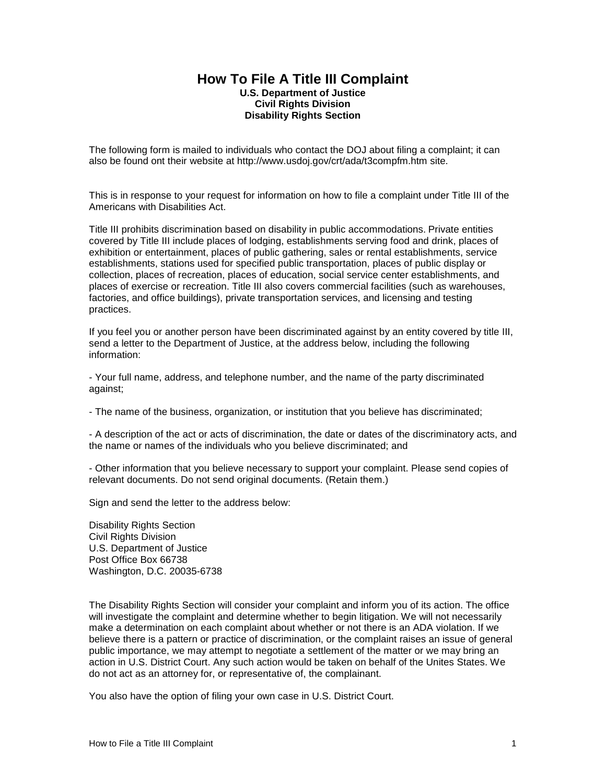## **How To File A Title III Complaint U.S. Department of Justice Civil Rights Division Disability Rights Section**

The following form is mailed to individuals who contact the DOJ about filing a complaint; it can also be found ont their website at http://www.usdoj.gov/crt/ada/t3compfm.htm site.

This is in response to your request for information on how to file a complaint under Title III of the Americans with Disabilities Act.

Title III prohibits discrimination based on disability in public accommodations. Private entities covered by Title III include places of lodging, establishments serving food and drink, places of exhibition or entertainment, places of public gathering, sales or rental establishments, service establishments, stations used for specified public transportation, places of public display or collection, places of recreation, places of education, social service center establishments, and places of exercise or recreation. Title III also covers commercial facilities (such as warehouses, factories, and office buildings), private transportation services, and licensing and testing practices.

If you feel you or another person have been discriminated against by an entity covered by title III, send a letter to the Department of Justice, at the address below, including the following information:

- Your full name, address, and telephone number, and the name of the party discriminated against;

- The name of the business, organization, or institution that you believe has discriminated;

- A description of the act or acts of discrimination, the date or dates of the discriminatory acts, and the name or names of the individuals who you believe discriminated; and

- Other information that you believe necessary to support your complaint. Please send copies of relevant documents. Do not send original documents. (Retain them.)

Sign and send the letter to the address below:

Disability Rights Section Civil Rights Division U.S. Department of Justice Post Office Box 66738 Washington, D.C. 20035-6738

The Disability Rights Section will consider your complaint and inform you of its action. The office will investigate the complaint and determine whether to begin litigation. We will not necessarily make a determination on each complaint about whether or not there is an ADA violation. If we believe there is a pattern or practice of discrimination, or the complaint raises an issue of general public importance, we may attempt to negotiate a settlement of the matter or we may bring an action in U.S. District Court. Any such action would be taken on behalf of the Unites States. We do not act as an attorney for, or representative of, the complainant.

You also have the option of filing your own case in U.S. District Court.